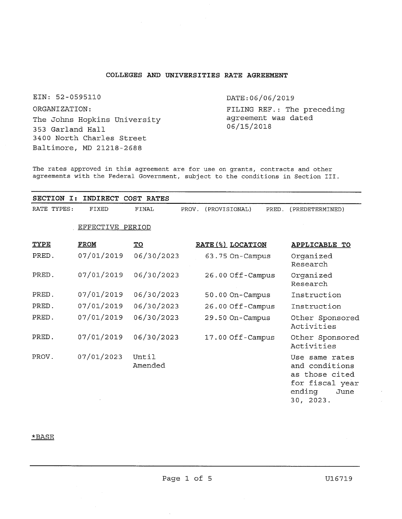## **COLLEGES AND UNIVERSITIES RATE AGREEMENT**

EIN: 52-<sup>0595110</sup> ORGANIZATION: The Johns Hopkins University 353 Garland Hall 3400 North Charles Street Baltimore, MD <sup>21218</sup>-<sup>2688</sup>

DATE:06/06/2019

FILING REF.: The preceding agreement was dated 06/15/2018

**The rates approved in this agreement are for use on grants, contracts and other agreements with the Federal Government, subject to the conditions in Section III.**

| <b>SECTION</b><br>I: | INDIRECT         | COST<br>RATES    |       |                   |       |                                                                                                      |
|----------------------|------------------|------------------|-------|-------------------|-------|------------------------------------------------------------------------------------------------------|
| RATE TYPES:          | FIXED            | FINAL            | PROV. | (PROVISIONAL)     | PRED. | (PREDETERMINED)                                                                                      |
|                      | EFFECTIVE PERIOD |                  |       |                   |       |                                                                                                      |
| <b>TYPE</b>          | <b>FROM</b>      | <u>TO</u>        |       | RATE (%) LOCATION |       | APPLICABLE TO                                                                                        |
| PRED.                | 07/01/2019       | 06/30/2023       |       | 63.75 On-Campus   |       | Organized<br>Research                                                                                |
| PRED.                | 07/01/2019       | 06/30/2023       |       | 26.00 Off-Campus  |       | Organized<br>Research                                                                                |
| PRED.                | 07/01/2019       | 06/30/2023       |       | 50.00 On-Campus   |       | Instruction                                                                                          |
| PRED.                | 07/01/2019       | 06/30/2023       |       | 26.00 Off-Campus  |       | Instruction                                                                                          |
| PRED.                | 07/01/2019       | 06/30/2023       |       | 29.50 On-Campus   |       | Other Sponsored<br>Activities                                                                        |
| PRED.                | 07/01/2019       | 06/30/2023       |       | 17.00 Off-Campus  |       | Other Sponsored<br>Activities                                                                        |
| PROV.                | 07/01/2023       | Until<br>Amended |       |                   |       | Use same rates<br>and conditions<br>as those cited<br>for fiscal year<br>ending<br>June<br>30, 2023. |

## \*BASE

 $\hat{\mathbf{r}}$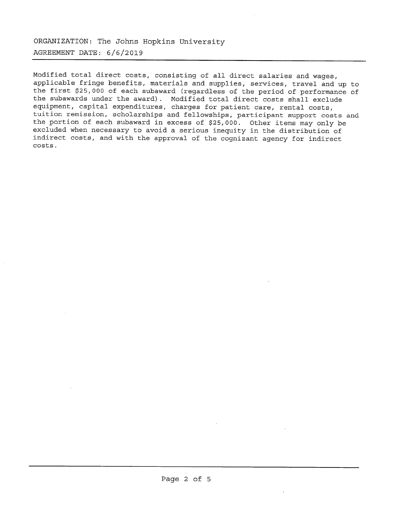**ORGANIZATION: The Johns Hopkins University AGREEMENT DATE: <sup>6</sup>/6/<sup>2019</sup>**

Modified total direct costs, consisting of all direct salaries and wages, applicable fringe benefits, materials and supplies, services, travel and up to the first \$25,<sup>000</sup> of each subaward (regardless of the period of performance of the subawards under the award). Modified total direct costs shall exclude equipment, capital expenditures, charges for patient care, rental costs, tuition remission, scholarships and fellowships, participant support costs and the portion of each subaward in excess of \$25,000. Other items may only be excluded when necessary to avoid a serious inequity in the distribution of indirect costs, and with the approval of the cognizant agency for indirect costs.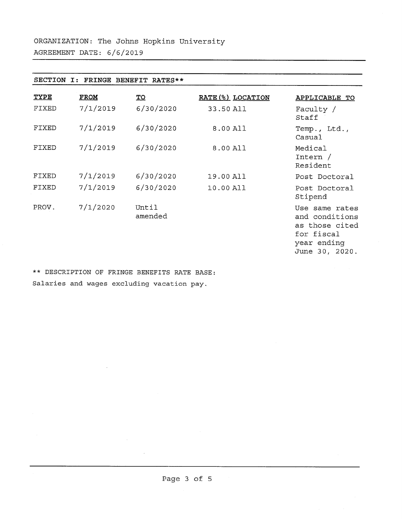| <b>SECTION</b><br>FRINGE<br>BENEFIT RATES**<br>I: |             |                         |                   |                                                                                                   |  |  |  |
|---------------------------------------------------|-------------|-------------------------|-------------------|---------------------------------------------------------------------------------------------------|--|--|--|
| <b>TYPE</b>                                       | <b>FROM</b> | $\underline{\text{TO}}$ | RATE (%) LOCATION | APPLICABLE TO                                                                                     |  |  |  |
| FIXED                                             | 7/1/2019    | 6/30/2020               | 33.50 All         | Faculty /<br>Staff                                                                                |  |  |  |
| FIXED                                             | 7/1/2019    | 6/30/2020               | 8.00 All          | Temp., Ltd.,<br>Casual                                                                            |  |  |  |
| FIXED                                             | 7/1/2019    | 6/30/2020               | 8.00 All          | Medical<br>Intern /<br>Resident                                                                   |  |  |  |
| FIXED                                             | 7/1/2019    | 6/30/2020               | 19.00 All         | Post Doctoral                                                                                     |  |  |  |
| FIXED                                             | 7/1/2019    | 6/30/2020               | 10.00 All         | Post Doctoral<br>Stipend                                                                          |  |  |  |
| PROV.                                             | 7/1/2020    | Until<br>amended        |                   | Use same rates<br>and conditions<br>as those cited<br>for fiscal<br>year ending<br>June 30, 2020. |  |  |  |

**\*\* DESCRIPTION OF FRINGE BENEFITS RATE BASE: Salaries and wages excluding vacation pay.**

 $\sim$ 

 $\mathcal{L}_{\mathcal{L}}$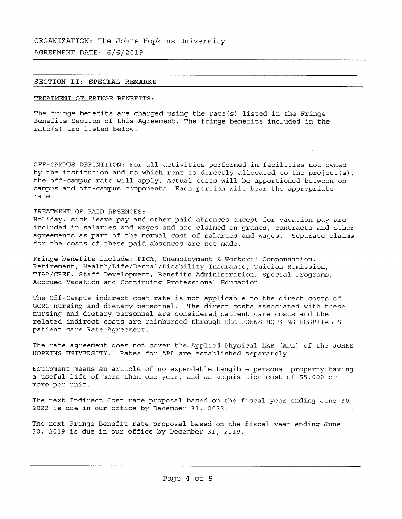**ORGANIZATION: The Johns Hopkins University AGREEMENT DATE: 6/6/2019**

### **SECTION II: SPECIAL REMARKS**

## TREATMENT OF FRINGE BENEFITS:

The fringe benefits are charged using the rate(s) listed in the Fringe Benefits Section of this Agreement. The fringe benefits included in the rate(s) are listed below.

OFF-CAMPUS DEFINITION: For all activities performed in facilities not owned by the institution and to which rent is directly allocated to the project(s), the off-campus rate will apply. Actual costs will be apportioned between on campus and off-campus components. Each portion will bear the appropriate rate.

## TREATMENT OF PAID ABSENCES:

Holiday, sick leave pay and other paid absences except for vacation pay are included in salaries and wages and are claimed on grants, contracts and other agreements as part of the normal cost of salaries and wages. Separate claims for the costs of these paid absences are not made.

Fringe benefits include: FICA, Unemployment & Workers' Compensation, Retirement, Health/Life/Dental/Disability Insurance, Tuition Remission, TIAA/CREF, Staff Development, Benefits Administration, Special Programs, Accrued Vacation and Continuing Professional Education.

The Off-Campus indirect cost rate is not applicable to the direct costs of GCRC nursing and dietary personnel. The direct costs associated with these nursing and dietary personnel are considered patient care costs and the related indirect costs are reimbursed through the JOHNS HOPKINS HOSPITAL'S patient care Rate Agreement.

The rate agreement does not cover the Applied Physical LAB (APL) of the JOHNS HOPKINS UNIVERSITY. Rates for APL are established separately.

Equipment means an article of nonexpendable tangible personal property having <sup>a</sup> useful life of more than one year, and an acquisition cost of \$5,000 or more per unit.

The next Indirect Cost rate proposal based on the fiscal year ending June 30, <sup>2022</sup> is due in our office by December 31, 2022.

The next Fringe Benefit rate proposal based on the fiscal year ending June 30, <sup>2019</sup> is due in our office by December 31, 2019.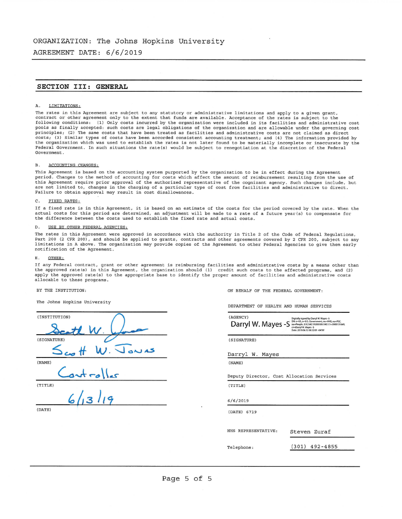AGREEMENT DATE: 6/6/2019

## **SECTION III: GENERAL**

#### A. LIMITATIONS:

The rates in this Agreement are subject to any statutory or administrative limitations and apply to a given grant,<br>contract or other agreement only to the extent that funds are available. Acceptance of the rates is subject following conditions: (1) Only costs incurred by the organization were included in its facilities and administrative cost pools as finally accepted: such costs are legal obligations of the organization and are allowable under the governing cost principles; (2) The same costs that have been treated as facilities and administrative costs are not claimed as direct costs; (3) Similar types of costs have been accorded consistent accounting treatment; and (4) The information provided by the organization which was used to establish the rates is not later found to be materially incomplete or inaccurate by the Federal Government. In such situations the rate(s) would be subject to renegotiation at the discretion of the Federal Government.

#### B. ACCOUNTING CHANGES:

This Agreement is based on the accounting system purported by the organization to be in effect during the Agreement period. Changes to the method of accounting for costs which affect the amount of reimbursement resulting from the use of this Agreement require prior approval of the authorized representative of the cognizant agency. Such changes include, but are not limited to, changes in the charging of a particular type of cost from facilities and administrative to direct. Failure to obtain approval may result in cost disallowances.

#### C. FIXED RATES:

If <sup>a</sup> fixed rate is in this Agreement, it is based on an estimate of the costs for the period covered by the rate. When the actual costs for this period are determined, an adjustment will be made to a rate of a future year{s) to compensate for the difference between the costs used to establish the fixed rate and actual costs.

#### D. USE BY OTHER FEDERAL AGENCIES:

The rates in this Agreement were approved in accordance with the authority in Title <sup>2</sup> of the Code of Federal Regulations, Part <sup>200</sup> (2 CFR 200), and should be applied to grants, contracts and other agreements covered by <sup>2</sup> CFR 200, subject to any limitations in <sup>A</sup> above. The organization may provide copies of the Agreement to other Federal Agencies to give them early notification of the Agreement.

#### OTHER:

If any Federal contract, grant or other agreement is reimbursing facilities and administrative costs by a means other than<br>the approved rate(s) in this Agreement, the organization should (1) credit such costs to the affect apply the approved rate(s) to the appropriate base to identify the proper amount of facilities and administrative costs allocable to these programs.

#### BY THE INSTITUTION:

The Johns Hopkins University

| (INSTITUTION)            |
|--------------------------|
| tl W                     |
| (SIGNATURE)              |
| $W.$ Jours<br>$t \sim t$ |
| (NAME)                   |
| $-2$                     |
| (TITLE)                  |
| 6/13/19                  |
| (DATE)                   |

ON BEHALF OF THE FEDERAL GOVERNMENT:

DEPARTMENT OF HEALTH AND HUMAN SERVICES

| (AGENCY)<br>Darryl W. Mayes -S            | Digitally signed by Darryl W. Mayes -S<br>DN: c=US, o=U.S. Government, ou=HHS, ou=PSC.<br>ou=People, 0.9.2342.19200300.100.1.1=2000131669,<br>cn=Darryl W. Mayes -S<br>Date: 2019.06.12.08:52:01-04'00" |
|-------------------------------------------|---------------------------------------------------------------------------------------------------------------------------------------------------------------------------------------------------------|
| (SIGNATURE)                               |                                                                                                                                                                                                         |
| Darryl W. Mayes                           |                                                                                                                                                                                                         |
| (NAME)                                    |                                                                                                                                                                                                         |
| Deputy Director, Cost Allocation Services |                                                                                                                                                                                                         |
| (TITLE)                                   |                                                                                                                                                                                                         |
| 6/6/2019                                  |                                                                                                                                                                                                         |
| (DATE) 6719                               |                                                                                                                                                                                                         |
| HHS REPRESENTATIVE:                       | Steven Zuraf                                                                                                                                                                                            |
| Telephone:                                | (301) 492-4855                                                                                                                                                                                          |